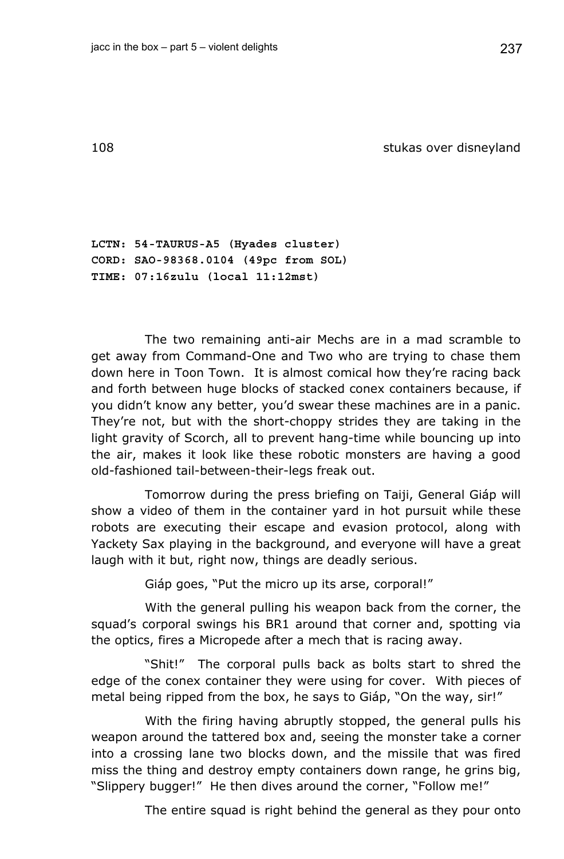108 stukas over disneyland

**LCTN: 54-TAURUS-A5 (Hyades cluster) CORD: SAO-98368.0104 (49pc from SOL) TIME: 07:16zulu (local 11:12mst)** 

The two remaining anti-air Mechs are in a mad scramble to get away from Command-One and Two who are trying to chase them down here in Toon Town. It is almost comical how they're racing back and forth between huge blocks of stacked conex containers because, if you didn't know any better, you'd swear these machines are in a panic. They're not, but with the short-choppy strides they are taking in the light gravity of Scorch, all to prevent hang-time while bouncing up into the air, makes it look like these robotic monsters are having a good old-fashioned tail-between-their-legs freak out.

Tomorrow during the press briefing on Taiji, General Giáp will show a video of them in the container yard in hot pursuit while these robots are executing their escape and evasion protocol, along with Yackety Sax playing in the background, and everyone will have a great laugh with it but, right now, things are deadly serious.

Giáp goes, "Put the micro up its arse, corporal!"

With the general pulling his weapon back from the corner, the squad's corporal swings his BR1 around that corner and, spotting via the optics, fires a Micropede after a mech that is racing away.

"Shit!" The corporal pulls back as bolts start to shred the edge of the conex container they were using for cover. With pieces of metal being ripped from the box, he says to Giáp, "On the way, sir!"

With the firing having abruptly stopped, the general pulls his weapon around the tattered box and, seeing the monster take a corner into a crossing lane two blocks down, and the missile that was fired miss the thing and destroy empty containers down range, he grins big, "Slippery bugger!" He then dives around the corner, "Follow me!"

The entire squad is right behind the general as they pour onto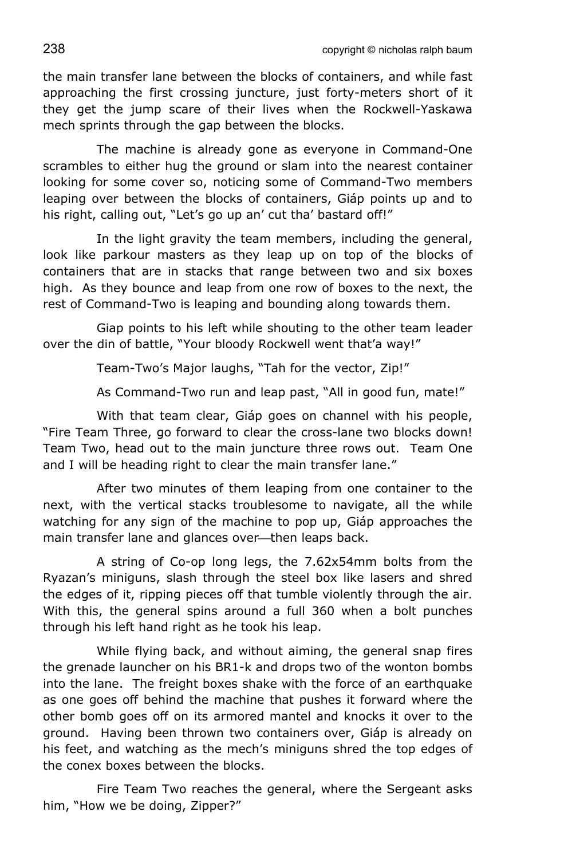the main transfer lane between the blocks of containers, and while fast approaching the first crossing juncture, just forty-meters short of it they get the jump scare of their lives when the Rockwell-Yaskawa mech sprints through the gap between the blocks.

The machine is already gone as everyone in Command-One scrambles to either hug the ground or slam into the nearest container looking for some cover so, noticing some of Command-Two members leaping over between the blocks of containers, Giáp points up and to his right, calling out, "Let's go up an' cut tha' bastard off!"

In the light gravity the team members, including the general, look like parkour masters as they leap up on top of the blocks of containers that are in stacks that range between two and six boxes high. As they bounce and leap from one row of boxes to the next, the rest of Command-Two is leaping and bounding along towards them.

Giap points to his left while shouting to the other team leader over the din of battle, "Your bloody Rockwell went that'a way!"

Team-Two's Major laughs, "Tah for the vector, Zip!"

As Command-Two run and leap past, "All in good fun, mate!"

With that team clear, Giáp goes on channel with his people, "Fire Team Three, go forward to clear the cross-lane two blocks down! Team Two, head out to the main juncture three rows out. Team One and I will be heading right to clear the main transfer lane."

After two minutes of them leaping from one container to the next, with the vertical stacks troublesome to navigate, all the while watching for any sign of the machine to pop up, Giáp approaches the main transfer lane and glances over--then leaps back.

A string of Co-op long legs, the 7.62x54mm bolts from the Ryazan's miniguns, slash through the steel box like lasers and shred the edges of it, ripping pieces off that tumble violently through the air. With this, the general spins around a full 360 when a bolt punches through his left hand right as he took his leap.

While flying back, and without aiming, the general snap fires the grenade launcher on his BR1-k and drops two of the wonton bombs into the lane. The freight boxes shake with the force of an earthquake as one goes off behind the machine that pushes it forward where the other bomb goes off on its armored mantel and knocks it over to the ground. Having been thrown two containers over, Giáp is already on his feet, and watching as the mech's miniguns shred the top edges of the conex boxes between the blocks.

Fire Team Two reaches the general, where the Sergeant asks him, "How we be doing, Zipper?"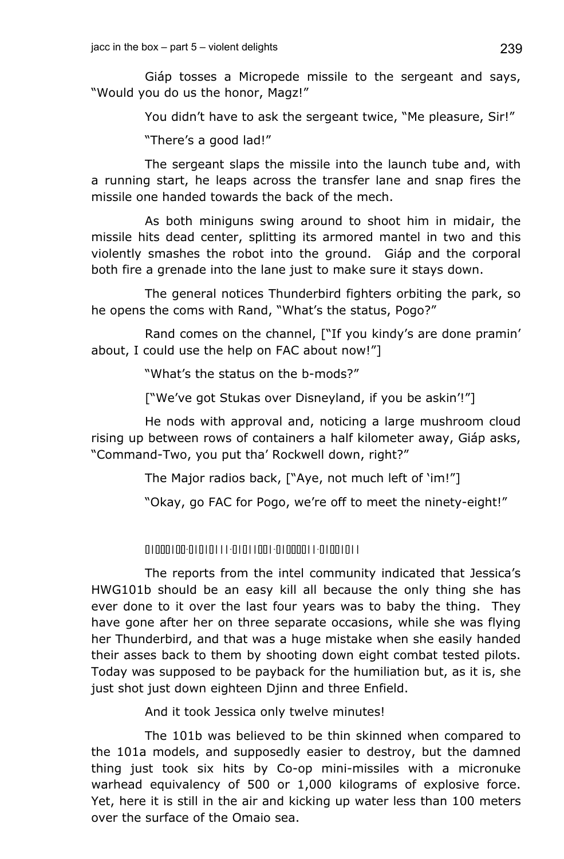Giáp tosses a Micropede missile to the sergeant and says, "Would you do us the honor, Magz!"

You didn't have to ask the sergeant twice, "Me pleasure, Sir!"

"There's a good lad!"

The sergeant slaps the missile into the launch tube and, with a running start, he leaps across the transfer lane and snap fires the missile one handed towards the back of the mech.

As both miniguns swing around to shoot him in midair, the missile hits dead center, splitting its armored mantel in two and this violently smashes the robot into the ground. Giáp and the corporal both fire a grenade into the lane just to make sure it stays down.

The general notices Thunderbird fighters orbiting the park, so he opens the coms with Rand, "What's the status, Pogo?"

Rand comes on the channel, ["If you kindy's are done pramin' about, I could use the help on FAC about now!"]

"What's the status on the b-mods?"

["We've got Stukas over Disneyland, if you be askin'!"]

He nods with approval and, noticing a large mushroom cloud rising up between rows of containers a half kilometer away, Giáp asks, "Command-Two, you put tha' Rockwell down, right?"

The Major radios back, ["Aye, not much left of 'im!"]

"Okay, go FAC for Pogo, we're off to meet the ninety-eight!"

01000100-01010111-01011001-01000011-01001011

The reports from the intel community indicated that Jessica's HWG101b should be an easy kill all because the only thing she has ever done to it over the last four years was to baby the thing. They have gone after her on three separate occasions, while she was flying her Thunderbird, and that was a huge mistake when she easily handed their asses back to them by shooting down eight combat tested pilots. Today was supposed to be payback for the humiliation but, as it is, she just shot just down eighteen Djinn and three Enfield.

And it took Jessica only twelve minutes!

The 101b was believed to be thin skinned when compared to the 101a models, and supposedly easier to destroy, but the damned thing just took six hits by Co-op mini-missiles with a micronuke warhead equivalency of 500 or 1,000 kilograms of explosive force. Yet, here it is still in the air and kicking up water less than 100 meters over the surface of the Omaio sea.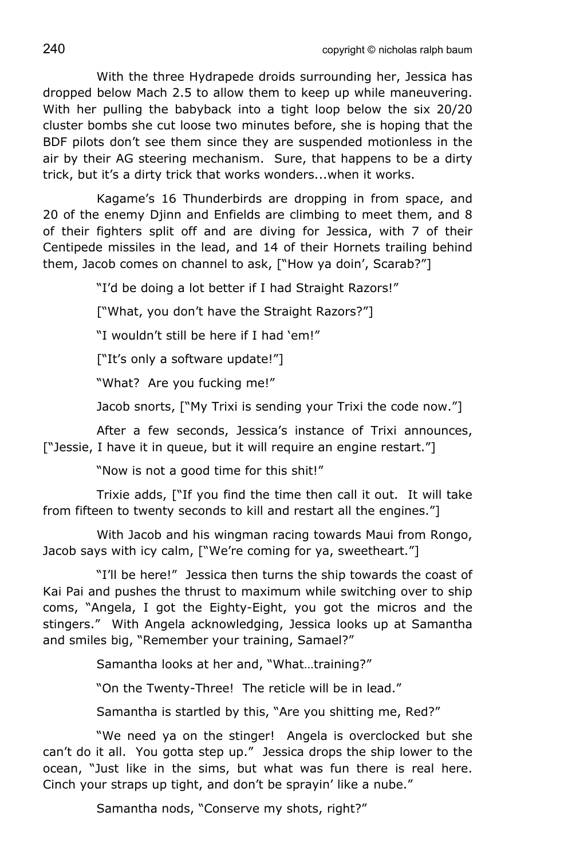With the three Hydrapede droids surrounding her, Jessica has dropped below Mach 2.5 to allow them to keep up while maneuvering. With her pulling the babyback into a tight loop below the six 20/20 cluster bombs she cut loose two minutes before, she is hoping that the BDF pilots don't see them since they are suspended motionless in the air by their AG steering mechanism. Sure, that happens to be a dirty trick, but it's a dirty trick that works wonders...when it works.

Kagame's 16 Thunderbirds are dropping in from space, and 20 of the enemy Djinn and Enfields are climbing to meet them, and 8 of their fighters split off and are diving for Jessica, with 7 of their Centipede missiles in the lead, and 14 of their Hornets trailing behind them, Jacob comes on channel to ask, ["How ya doin', Scarab?"]

"I'd be doing a lot better if I had Straight Razors!"

["What, you don't have the Straight Razors?"]

"I wouldn't still be here if I had 'em!"

["It's only a software update!"]

"What? Are you fucking me!"

Jacob snorts, ["My Trixi is sending your Trixi the code now."]

After a few seconds, Jessica's instance of Trixi announces, ["Jessie, I have it in queue, but it will require an engine restart."]

"Now is not a good time for this shit!"

Trixie adds, ["If you find the time then call it out. It will take from fifteen to twenty seconds to kill and restart all the engines."]

With Jacob and his wingman racing towards Maui from Rongo, Jacob says with icy calm, ["We're coming for ya, sweetheart."]

"I'll be here!" Jessica then turns the ship towards the coast of Kai Pai and pushes the thrust to maximum while switching over to ship coms, "Angela, I got the Eighty-Eight, you got the micros and the stingers." With Angela acknowledging, Jessica looks up at Samantha and smiles big, "Remember your training, Samael?"

Samantha looks at her and, "What…training?"

"On the Twenty-Three! The reticle will be in lead."

Samantha is startled by this, "Are you shitting me, Red?"

"We need ya on the stinger! Angela is overclocked but she can't do it all. You gotta step up." Jessica drops the ship lower to the ocean, "Just like in the sims, but what was fun there is real here. Cinch your straps up tight, and don't be sprayin' like a nube."

Samantha nods, "Conserve my shots, right?"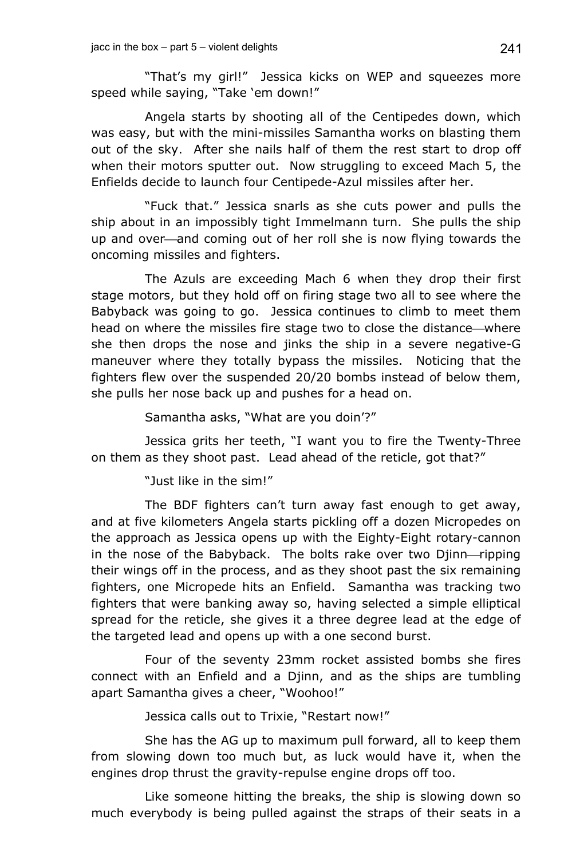"That's my girl!" Jessica kicks on WEP and squeezes more speed while saying, "Take 'em down!"

Angela starts by shooting all of the Centipedes down, which was easy, but with the mini-missiles Samantha works on blasting them out of the sky. After she nails half of them the rest start to drop off when their motors sputter out. Now struggling to exceed Mach 5, the Enfields decide to launch four Centipede-Azul missiles after her.

"Fuck that." Jessica snarls as she cuts power and pulls the ship about in an impossibly tight Immelmann turn. She pulls the ship up and over—and coming out of her roll she is now flying towards the oncoming missiles and fighters.

The Azuls are exceeding Mach 6 when they drop their first stage motors, but they hold off on firing stage two all to see where the Babyback was going to go. Jessica continues to climb to meet them head on where the missiles fire stage two to close the distance—where she then drops the nose and jinks the ship in a severe negative-G maneuver where they totally bypass the missiles. Noticing that the fighters flew over the suspended 20/20 bombs instead of below them, she pulls her nose back up and pushes for a head on.

Samantha asks, "What are you doin'?"

Jessica grits her teeth, "I want you to fire the Twenty-Three on them as they shoot past. Lead ahead of the reticle, got that?"

"Just like in the sim!"

The BDF fighters can't turn away fast enough to get away, and at five kilometers Angela starts pickling off a dozen Micropedes on the approach as Jessica opens up with the Eighty-Eight rotary-cannon in the nose of the Babyback. The bolts rake over two Djinn-ripping their wings off in the process, and as they shoot past the six remaining fighters, one Micropede hits an Enfield. Samantha was tracking two fighters that were banking away so, having selected a simple elliptical spread for the reticle, she gives it a three degree lead at the edge of the targeted lead and opens up with a one second burst.

Four of the seventy 23mm rocket assisted bombs she fires connect with an Enfield and a Djinn, and as the ships are tumbling apart Samantha gives a cheer, "Woohoo!"

Jessica calls out to Trixie, "Restart now!"

She has the AG up to maximum pull forward, all to keep them from slowing down too much but, as luck would have it, when the engines drop thrust the gravity-repulse engine drops off too.

Like someone hitting the breaks, the ship is slowing down so much everybody is being pulled against the straps of their seats in a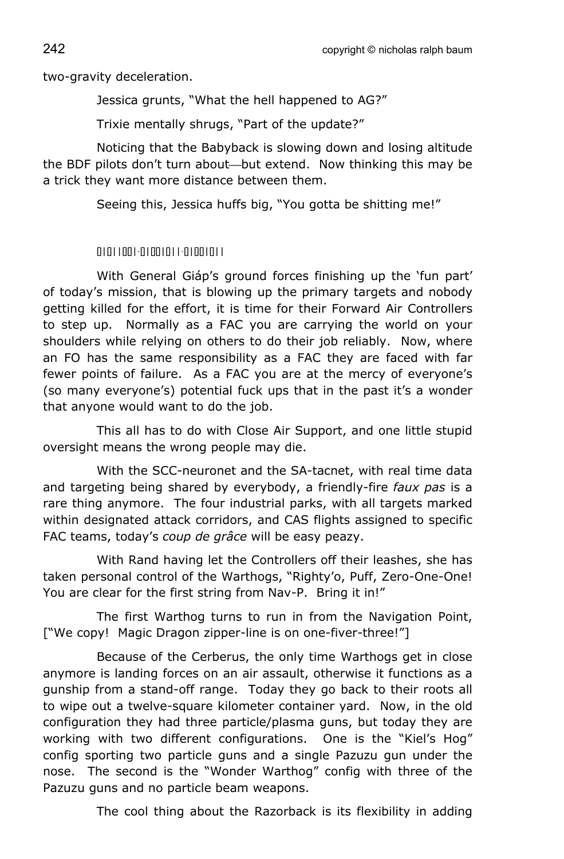two-gravity deceleration.

Jessica grunts, "What the hell happened to AG?"

Trixie mentally shrugs, "Part of the update?"

Noticing that the Babyback is slowing down and losing altitude the BDF pilots don't turn about—but extend. Now thinking this may be a trick they want more distance between them.

Seeing this, Jessica huffs big, "You gotta be shitting me!"

## 01011001-01001011-01001011

With General Giáp's ground forces finishing up the 'fun part' of today's mission, that is blowing up the primary targets and nobody getting killed for the effort, it is time for their Forward Air Controllers to step up. Normally as a FAC you are carrying the world on your shoulders while relying on others to do their job reliably. Now, where an FO has the same responsibility as a FAC they are faced with far fewer points of failure. As a FAC you are at the mercy of everyone's (so many everyone's) potential fuck ups that in the past it's a wonder that anyone would want to do the job.

This all has to do with Close Air Support, and one little stupid oversight means the wrong people may die.

With the SCC-neuronet and the SA-tacnet, with real time data and targeting being shared by everybody, a friendly-fire *faux pas* is a rare thing anymore. The four industrial parks, with all targets marked within designated attack corridors, and CAS flights assigned to specific FAC teams, today's *coup de grâce* will be easy peazy.

With Rand having let the Controllers off their leashes, she has taken personal control of the Warthogs, "Righty'o, Puff, Zero-One-One! You are clear for the first string from Nav-P. Bring it in!"

The first Warthog turns to run in from the Navigation Point, ["We copy! Magic Dragon zipper-line is on one-fiver-three!"]

Because of the Cerberus, the only time Warthogs get in close anymore is landing forces on an air assault, otherwise it functions as a gunship from a stand-off range. Today they go back to their roots all to wipe out a twelve-square kilometer container yard. Now, in the old configuration they had three particle/plasma guns, but today they are working with two different configurations. One is the "Kiel's Hog" config sporting two particle guns and a single Pazuzu gun under the nose. The second is the "Wonder Warthog" config with three of the Pazuzu guns and no particle beam weapons.

The cool thing about the Razorback is its flexibility in adding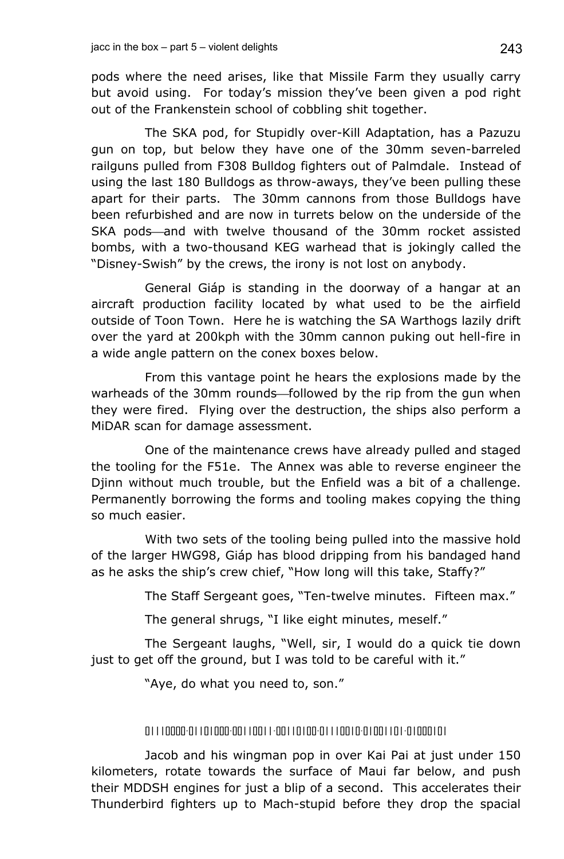pods where the need arises, like that Missile Farm they usually carry but avoid using. For today's mission they've been given a pod right out of the Frankenstein school of cobbling shit together.

The SKA pod, for Stupidly over-Kill Adaptation, has a Pazuzu gun on top, but below they have one of the 30mm seven-barreled railguns pulled from F308 Bulldog fighters out of Palmdale. Instead of using the last 180 Bulldogs as throw-aways, they've been pulling these apart for their parts. The 30mm cannons from those Bulldogs have been refurbished and are now in turrets below on the underside of the SKA pods—and with twelve thousand of the 30mm rocket assisted bombs, with a two-thousand KEG warhead that is jokingly called the "Disney-Swish" by the crews, the irony is not lost on anybody.

General Giáp is standing in the doorway of a hangar at an aircraft production facility located by what used to be the airfield outside of Toon Town. Here he is watching the SA Warthogs lazily drift over the yard at 200kph with the 30mm cannon puking out hell-fire in a wide angle pattern on the conex boxes below.

From this vantage point he hears the explosions made by the warheads of the 30mm rounds—followed by the rip from the gun when they were fired. Flying over the destruction, the ships also perform a MiDAR scan for damage assessment.

One of the maintenance crews have already pulled and staged the tooling for the F51e. The Annex was able to reverse engineer the Djinn without much trouble, but the Enfield was a bit of a challenge. Permanently borrowing the forms and tooling makes copying the thing so much easier.

With two sets of the tooling being pulled into the massive hold of the larger HWG98, Giáp has blood dripping from his bandaged hand as he asks the ship's crew chief, "How long will this take, Staffy?"

The Staff Sergeant goes, "Ten-twelve minutes. Fifteen max."

The general shrugs, "I like eight minutes, meself."

The Sergeant laughs, "Well, sir, I would do a quick tie down just to get off the ground, but I was told to be careful with it."

"Aye, do what you need to, son."

## 01110000-01101000-00110011-00110100-01110010-01001101-01000101

Jacob and his wingman pop in over Kai Pai at just under 150 kilometers, rotate towards the surface of Maui far below, and push their MDDSH engines for just a blip of a second. This accelerates their Thunderbird fighters up to Mach-stupid before they drop the spacial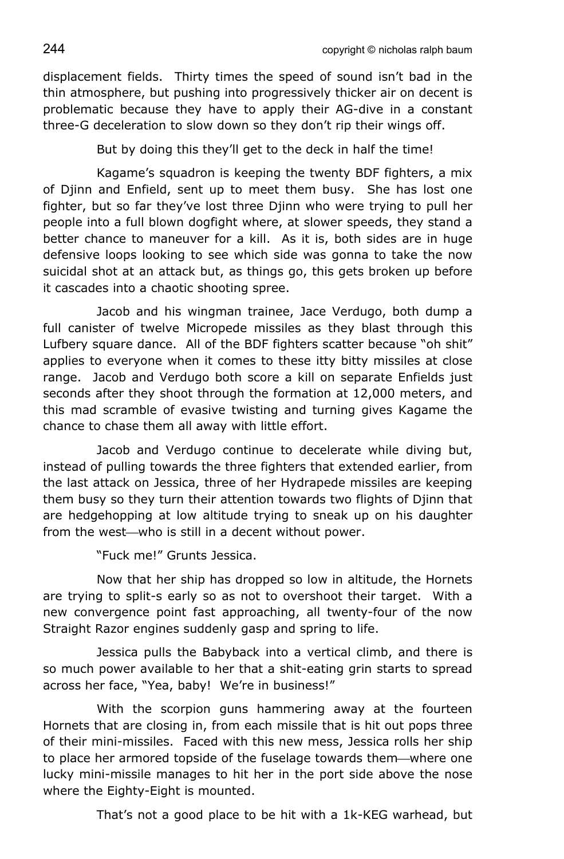displacement fields. Thirty times the speed of sound isn't bad in the thin atmosphere, but pushing into progressively thicker air on decent is problematic because they have to apply their AG-dive in a constant three-G deceleration to slow down so they don't rip their wings off.

But by doing this they'll get to the deck in half the time!

Kagame's squadron is keeping the twenty BDF fighters, a mix of Djinn and Enfield, sent up to meet them busy. She has lost one fighter, but so far they've lost three Djinn who were trying to pull her people into a full blown dogfight where, at slower speeds, they stand a better chance to maneuver for a kill. As it is, both sides are in huge defensive loops looking to see which side was gonna to take the now suicidal shot at an attack but, as things go, this gets broken up before it cascades into a chaotic shooting spree.

Jacob and his wingman trainee, Jace Verdugo, both dump a full canister of twelve Micropede missiles as they blast through this Lufbery square dance. All of the BDF fighters scatter because "oh shit" applies to everyone when it comes to these itty bitty missiles at close range. Jacob and Verdugo both score a kill on separate Enfields just seconds after they shoot through the formation at 12,000 meters, and this mad scramble of evasive twisting and turning gives Kagame the chance to chase them all away with little effort.

Jacob and Verdugo continue to decelerate while diving but, instead of pulling towards the three fighters that extended earlier, from the last attack on Jessica, three of her Hydrapede missiles are keeping them busy so they turn their attention towards two flights of Djinn that are hedgehopping at low altitude trying to sneak up on his daughter from the west—who is still in a decent without power.

"Fuck me!" Grunts Jessica.

Now that her ship has dropped so low in altitude, the Hornets are trying to split-s early so as not to overshoot their target. With a new convergence point fast approaching, all twenty-four of the now Straight Razor engines suddenly gasp and spring to life.

Jessica pulls the Babyback into a vertical climb, and there is so much power available to her that a shit-eating grin starts to spread across her face, "Yea, baby! We're in business!"

With the scorpion guns hammering away at the fourteen Hornets that are closing in, from each missile that is hit out pops three of their mini-missiles. Faced with this new mess, Jessica rolls her ship to place her armored topside of the fuselage towards them—where one lucky mini-missile manages to hit her in the port side above the nose where the Eighty-Eight is mounted.

That's not a good place to be hit with a 1k-KEG warhead, but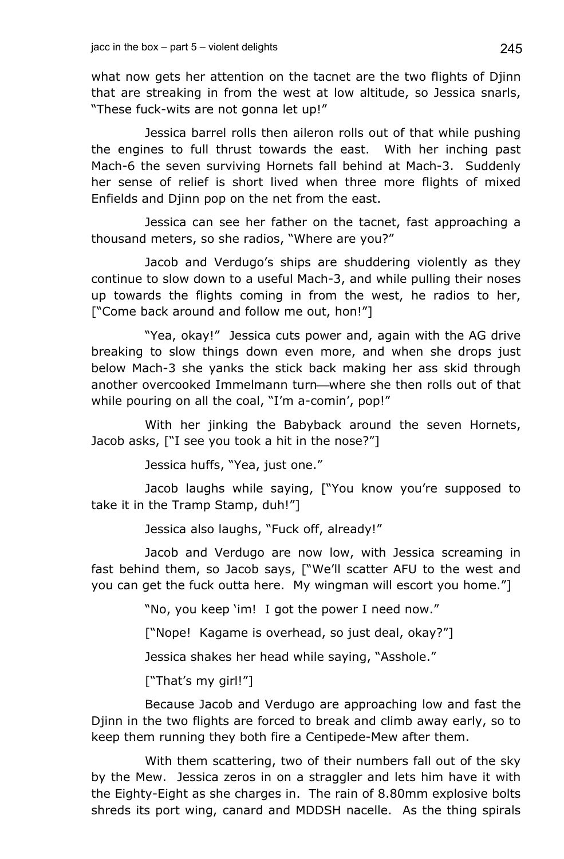what now gets her attention on the tacnet are the two flights of Djinn that are streaking in from the west at low altitude, so Jessica snarls, "These fuck-wits are not gonna let up!"

Jessica barrel rolls then aileron rolls out of that while pushing the engines to full thrust towards the east. With her inching past Mach-6 the seven surviving Hornets fall behind at Mach-3. Suddenly her sense of relief is short lived when three more flights of mixed Enfields and Djinn pop on the net from the east.

Jessica can see her father on the tacnet, fast approaching a thousand meters, so she radios, "Where are you?"

Jacob and Verdugo's ships are shuddering violently as they continue to slow down to a useful Mach-3, and while pulling their noses up towards the flights coming in from the west, he radios to her, ["Come back around and follow me out, hon!"]

"Yea, okay!" Jessica cuts power and, again with the AG drive breaking to slow things down even more, and when she drops just below Mach-3 she yanks the stick back making her ass skid through another overcooked Immelmann turn—where she then rolls out of that while pouring on all the coal, "I'm a-comin', pop!"

With her jinking the Babyback around the seven Hornets, Jacob asks, ["I see you took a hit in the nose?"]

Jessica huffs, "Yea, just one."

Jacob laughs while saying, ["You know you're supposed to take it in the Tramp Stamp, duh!"]

Jessica also laughs, "Fuck off, already!"

Jacob and Verdugo are now low, with Jessica screaming in fast behind them, so Jacob says, ["We'll scatter AFU to the west and you can get the fuck outta here. My wingman will escort you home."]

"No, you keep 'im! I got the power I need now."

["Nope! Kagame is overhead, so just deal, okay?"]

Jessica shakes her head while saying, "Asshole."

["That's my girl!"]

Because Jacob and Verdugo are approaching low and fast the Djinn in the two flights are forced to break and climb away early, so to keep them running they both fire a Centipede-Mew after them.

With them scattering, two of their numbers fall out of the sky by the Mew. Jessica zeros in on a straggler and lets him have it with the Eighty-Eight as she charges in. The rain of 8.80mm explosive bolts shreds its port wing, canard and MDDSH nacelle. As the thing spirals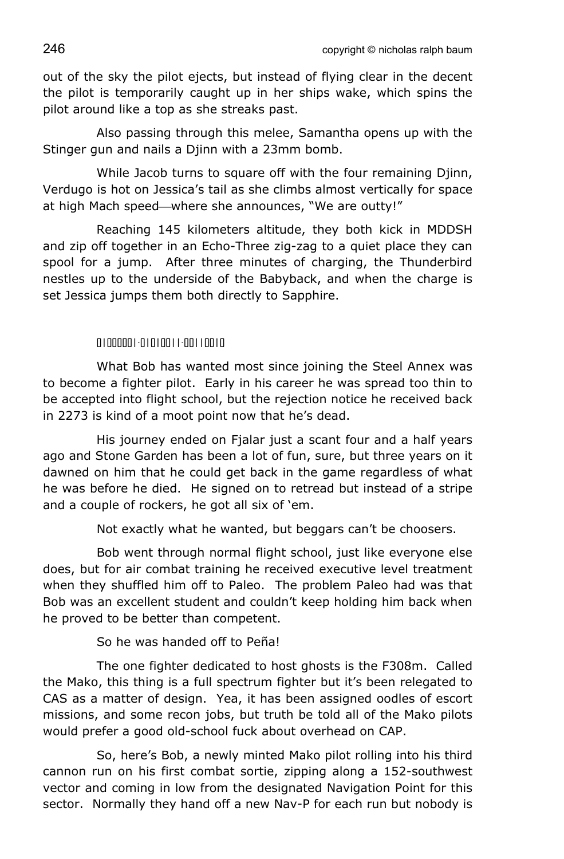out of the sky the pilot ejects, but instead of flying clear in the decent the pilot is temporarily caught up in her ships wake, which spins the pilot around like a top as she streaks past.

Also passing through this melee, Samantha opens up with the Stinger gun and nails a Djinn with a 23mm bomb.

While Jacob turns to square off with the four remaining Djinn, Verdugo is hot on Jessica's tail as she climbs almost vertically for space at high Mach speed—where she announces, "We are outty!"

Reaching 145 kilometers altitude, they both kick in MDDSH and zip off together in an Echo-Three zig-zag to a quiet place they can spool for a jump. After three minutes of charging, the Thunderbird nestles up to the underside of the Babyback, and when the charge is set Jessica jumps them both directly to Sapphire.

## 01000001-01010011-00110010

What Bob has wanted most since joining the Steel Annex was to become a fighter pilot. Early in his career he was spread too thin to be accepted into flight school, but the rejection notice he received back in 2273 is kind of a moot point now that he's dead.

His journey ended on Fjalar just a scant four and a half years ago and Stone Garden has been a lot of fun, sure, but three years on it dawned on him that he could get back in the game regardless of what he was before he died. He signed on to retread but instead of a stripe and a couple of rockers, he got all six of 'em.

Not exactly what he wanted, but beggars can't be choosers.

Bob went through normal flight school, just like everyone else does, but for air combat training he received executive level treatment when they shuffled him off to Paleo. The problem Paleo had was that Bob was an excellent student and couldn't keep holding him back when he proved to be better than competent.

So he was handed off to Peña!

The one fighter dedicated to host ghosts is the F308m. Called the Mako, this thing is a full spectrum fighter but it's been relegated to CAS as a matter of design. Yea, it has been assigned oodles of escort missions, and some recon jobs, but truth be told all of the Mako pilots would prefer a good old-school fuck about overhead on CAP.

So, here's Bob, a newly minted Mako pilot rolling into his third cannon run on his first combat sortie, zipping along a 152-southwest vector and coming in low from the designated Navigation Point for this sector. Normally they hand off a new Nav-P for each run but nobody is